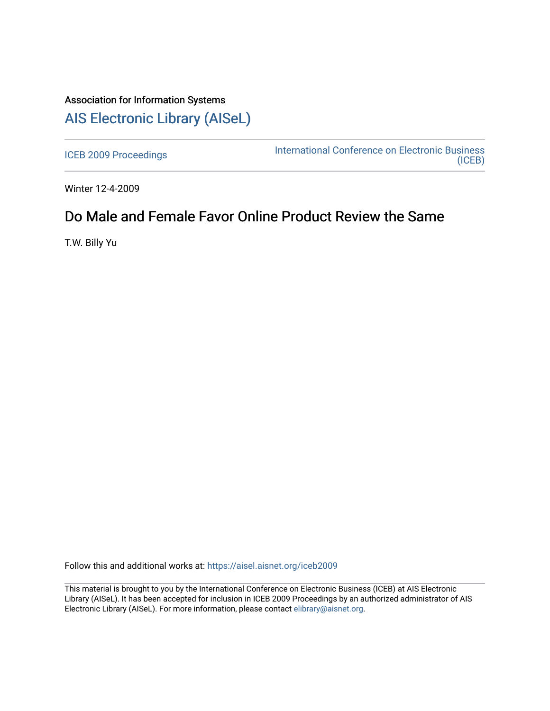# Association for Information Systems [AIS Electronic Library \(AISeL\)](https://aisel.aisnet.org/)

[ICEB 2009 Proceedings](https://aisel.aisnet.org/iceb2009) **International Conference on Electronic Business** [\(ICEB\)](https://aisel.aisnet.org/iceb) 

Winter 12-4-2009

# Do Male and Female Favor Online Product Review the Same

T.W. Billy Yu

Follow this and additional works at: [https://aisel.aisnet.org/iceb2009](https://aisel.aisnet.org/iceb2009?utm_source=aisel.aisnet.org%2Ficeb2009%2F61&utm_medium=PDF&utm_campaign=PDFCoverPages)

This material is brought to you by the International Conference on Electronic Business (ICEB) at AIS Electronic Library (AISeL). It has been accepted for inclusion in ICEB 2009 Proceedings by an authorized administrator of AIS Electronic Library (AISeL). For more information, please contact [elibrary@aisnet.org.](mailto:elibrary@aisnet.org%3E)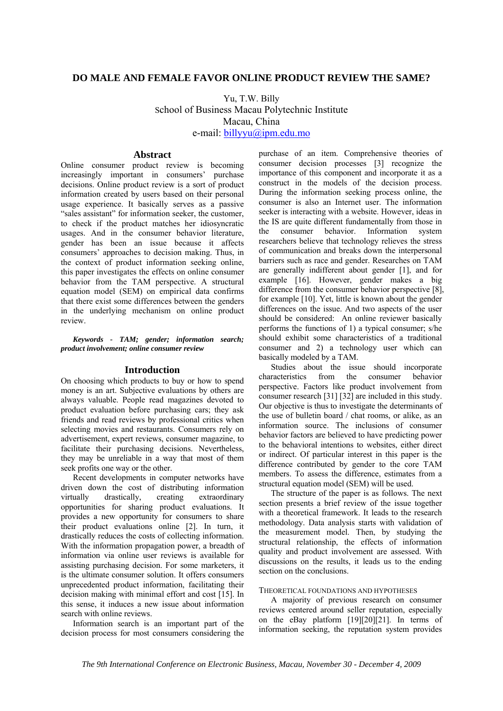# **DO MALE AND FEMALE FAVOR ONLINE PRODUCT REVIEW THE SAME?**

Yu, T.W. Billy School of Business Macau Polytechnic Institute Macau, China e-mail: billyyu@ipm.edu.mo

# **Abstract**

Online consumer product review is becoming increasingly important in consumers' purchase decisions. Online product review is a sort of product information created by users based on their personal usage experience. It basically serves as a passive "sales assistant" for information seeker, the customer, to check if the product matches her idiosyncratic usages. And in the consumer behavior literature, gender has been an issue because it affects consumers' approaches to decision making. Thus, in the context of product information seeking online, this paper investigates the effects on online consumer behavior from the TAM perspective. A structural equation model (SEM) on empirical data confirms that there exist some differences between the genders in the underlying mechanism on online product review.

*Keywords - TAM; gender; information search; product involvement; online consumer review* 

### **Introduction**

On choosing which products to buy or how to spend money is an art. Subjective evaluations by others are always valuable. People read magazines devoted to product evaluation before purchasing cars; they ask friends and read reviews by professional critics when selecting movies and restaurants. Consumers rely on advertisement, expert reviews, consumer magazine, to facilitate their purchasing decisions. Nevertheless, they may be unreliable in a way that most of them seek profits one way or the other.

Recent developments in computer networks have driven down the cost of distributing information virtually drastically, creating extraordinary opportunities for sharing product evaluations. It provides a new opportunity for consumers to share their product evaluations online [2]. In turn, it drastically reduces the costs of collecting information. With the information propagation power, a breadth of information via online user reviews is available for assisting purchasing decision. For some marketers, it is the ultimate consumer solution. It offers consumers unprecedented product information, facilitating their decision making with minimal effort and cost [15]. In this sense, it induces a new issue about information search with online reviews.

Information search is an important part of the decision process for most consumers considering the

purchase of an item. Comprehensive theories of consumer decision processes [3] recognize the importance of this component and incorporate it as a construct in the models of the decision process. During the information seeking process online, the consumer is also an Internet user. The information seeker is interacting with a website. However, ideas in the IS are quite different fundamentally from those in the consumer behavior. Information system researchers believe that technology relieves the stress of communication and breaks down the interpersonal barriers such as race and gender. Researches on TAM are generally indifferent about gender [1], and for example [16]. However, gender makes a big difference from the consumer behavior perspective [8], for example [10]. Yet, little is known about the gender differences on the issue. And two aspects of the user should be considered: An online reviewer basically performs the functions of 1) a typical consumer; s/he should exhibit some characteristics of a traditional consumer and 2) a technology user which can basically modeled by a TAM.

Studies about the issue should incorporate characteristics from the consumer behavior perspective. Factors like product involvement from consumer research [31] [32] are included in this study. Our objective is thus to investigate the determinants of the use of bulletin board / chat rooms, or alike, as an information source. The inclusions of consumer behavior factors are believed to have predicting power to the behavioral intentions to websites, either direct or indirect. Of particular interest in this paper is the difference contributed by gender to the core TAM members. To assess the difference, estimates from a structural equation model (SEM) will be used.

The structure of the paper is as follows. The next section presents a brief review of the issue together with a theoretical framework. It leads to the research methodology. Data analysis starts with validation of the measurement model. Then, by studying the structural relationship, the effects of information quality and product involvement are assessed. With discussions on the results, it leads us to the ending section on the conclusions.

#### THEORETICAL FOUNDATIONS AND HYPOTHESES

A majority of previous research on consumer reviews centered around seller reputation, especially on the eBay platform [19][20][21]. In terms of information seeking, the reputation system provides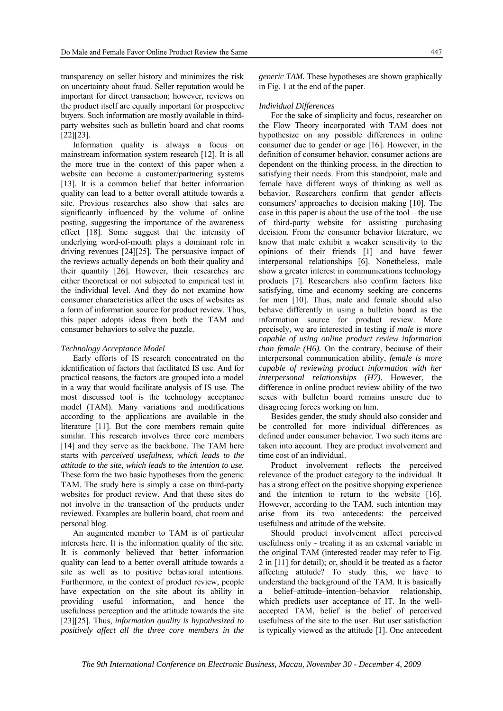transparency on seller history and minimizes the risk on uncertainty about fraud. Seller reputation would be important for direct transaction; however, reviews on the product itself are equally important for prospective buyers. Such information are mostly available in thirdparty websites such as bulletin board and chat rooms [22][23].

Information quality is always a focus on mainstream information system research [12]. It is all the more true in the context of this paper when a website can become a customer/partnering systems [13]. It is a common belief that better information quality can lead to a better overall attitude towards a site. Previous researches also show that sales are significantly influenced by the volume of online posting, suggesting the importance of the awareness effect [18]. Some suggest that the intensity of underlying word-of-mouth plays a dominant role in driving revenues [24][25]. The persuasive impact of the reviews actually depends on both their quality and their quantity [26]. However, their researches are either theoretical or not subjected to empirical test in the individual level. And they do not examine how consumer characteristics affect the uses of websites as a form of information source for product review. Thus, this paper adopts ideas from both the TAM and consumer behaviors to solve the puzzle.

#### *Technology Acceptance Model*

Early efforts of IS research concentrated on the identification of factors that facilitated IS use. And for practical reasons, the factors are grouped into a model in a way that would facilitate analysis of IS use. The most discussed tool is the technology acceptance model (TAM). Many variations and modifications according to the applications are available in the literature [11]. But the core members remain quite similar. This research involves three core members [14] and they serve as the backbone. The TAM here starts with *perceived usefulness, which leads to the attitude to the site, which leads to the intention to use.* These form the two basic hypotheses from the generic TAM. The study here is simply a case on third-party websites for product review. And that these sites do not involve in the transaction of the products under reviewed. Examples are bulletin board, chat room and personal blog.

An augmented member to TAM is of particular interests here. It is the information quality of the site. It is commonly believed that better information quality can lead to a better overall attitude towards a site as well as to positive behavioral intentions. Furthermore, in the context of product review, people have expectation on the site about its ability in providing useful information, and hence the usefulness perception and the attitude towards the site [23][25]. Thus, *information quality is hypothesized to positively affect all the three core members in the* 

*generic TAM.* These hypotheses are shown graphically in Fig. 1 at the end of the paper.

#### *Individual Differences*

For the sake of simplicity and focus, researcher on the Flow Theory incorporated with TAM does not hypothesize on any possible differences in online consumer due to gender or age [16]. However, in the definition of consumer behavior, consumer actions are dependent on the thinking process, in the direction to satisfying their needs. From this standpoint, male and female have different ways of thinking as well as behavior. Researchers confirm that gender affects consumers' approaches to decision making [10]. The case in this paper is about the use of the tool – the use of third-party website for assisting purchasing decision. From the consumer behavior literature, we know that male exhibit a weaker sensitivity to the opinions of their friends [1] and have fewer interpersonal relationships [6]. Nonetheless, male show a greater interest in communications technology products [7]. Researchers also confirm factors like satisfying, time and economy seeking are concerns for men [10]. Thus, male and female should also behave differently in using a bulletin board as the information source for product review. More precisely, we are interested in testing if *male is more capable of using online product review information than female (H6).* On the contrary, because of their interpersonal communication ability, *female is more capable of reviewing product information with her interpersonal relationships (H7)*. However, the difference in online product review ability of the two sexes with bulletin board remains unsure due to disagreeing forces working on him.

Besides gender, the study should also consider and be controlled for more individual differences as defined under consumer behavior. Two such items are taken into account. They are product involvement and time cost of an individual.

Product involvement reflects the perceived relevance of the product category to the individual. It has a strong effect on the positive shopping experience and the intention to return to the website [16]. However, according to the TAM, such intention may arise from its two antecedents: the perceived usefulness and attitude of the website.

Should product involvement affect perceived usefulness only - treating it as an external variable in the original TAM (interested reader may refer to Fig. 2 in [11] for detail); or, should it be treated as a factor affecting attitude? To study this, we have to understand the background of the TAM. It is basically a belief–attitude–intention–behavior relationship, which predicts user acceptance of IT. In the wellaccepted TAM, belief is the belief of perceived usefulness of the site to the user. But user satisfaction is typically viewed as the attitude [1]. One antecedent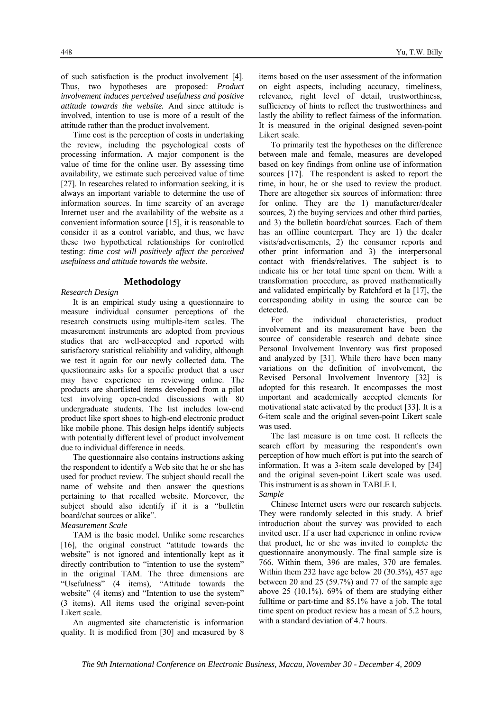of such satisfaction is the product involvement [4]. Thus, two hypotheses are proposed: *Product involvement induces perceived usefulness and positive attitude towards the website.* And since attitude is involved, intention to use is more of a result of the attitude rather than the product involvement.

Time cost is the perception of costs in undertaking the review, including the psychological costs of processing information. A major component is the value of time for the online user. By assessing time availability, we estimate such perceived value of time [27]. In researches related to information seeking, it is always an important variable to determine the use of information sources. In time scarcity of an average Internet user and the availability of the website as a convenient information source [15], it is reasonable to consider it as a control variable, and thus, we have these two hypothetical relationships for controlled testing: *time cost will positively affect the perceived usefulness and attitude towards the website*.

# **Methodology**

#### *Research Design*

It is an empirical study using a questionnaire to measure individual consumer perceptions of the research constructs using multiple-item scales. The measurement instruments are adopted from previous studies that are well-accepted and reported with satisfactory statistical reliability and validity, although we test it again for our newly collected data. The questionnaire asks for a specific product that a user may have experience in reviewing online. The products are shortlisted items developed from a pilot test involving open-ended discussions with 80 undergraduate students. The list includes low-end product like sport shoes to high-end electronic product like mobile phone. This design helps identify subjects with potentially different level of product involvement due to individual difference in needs.

The questionnaire also contains instructions asking the respondent to identify a Web site that he or she has used for product review. The subject should recall the name of website and then answer the questions pertaining to that recalled website. Moreover, the subject should also identify if it is a "bulletin board/chat sources or alike".

#### *Measurement Scale*

TAM is the basic model. Unlike some researches [16], the original construct "attitude towards the website" is not ignored and intentionally kept as it directly contribution to "intention to use the system" in the original TAM. The three dimensions are "Usefulness" (4 items), "Attitude towards the website" (4 items) and "Intention to use the system" (3 items). All items used the original seven-point Likert scale.

An augmented site characteristic is information quality. It is modified from [30] and measured by 8 items based on the user assessment of the information on eight aspects, including accuracy, timeliness, relevance, right level of detail, trustworthiness, sufficiency of hints to reflect the trustworthiness and lastly the ability to reflect fairness of the information. It is measured in the original designed seven-point Likert scale.

To primarily test the hypotheses on the difference between male and female, measures are developed based on key findings from online use of information sources [17]. The respondent is asked to report the time, in hour, he or she used to review the product. There are altogether six sources of information: three for online. They are the 1) manufacturer/dealer sources, 2) the buying services and other third parties, and 3) the bulletin board/chat sources. Each of them has an offline counterpart. They are 1) the dealer visits/advertisements, 2) the consumer reports and other print information and 3) the interpersonal contact with friends/relatives. The subject is to indicate his or her total time spent on them. With a transformation procedure, as proved mathematically and validated empirically by Ratchford et la [17], the corresponding ability in using the source can be detected.

For the individual characteristics, product involvement and its measurement have been the source of considerable research and debate since Personal Involvement Inventory was first proposed and analyzed by [31]. While there have been many variations on the definition of involvement, the Revised Personal Involvement Inventory [32] is adopted for this research. It encompasses the most important and academically accepted elements for motivational state activated by the product [33]. It is a 6-item scale and the original seven-point Likert scale was used.

The last measure is on time cost. It reflects the search effort by measuring the respondent's own perception of how much effort is put into the search of information. It was a 3-item scale developed by [34] and the original seven-point Likert scale was used. This instrument is as shown in TABLE I. *Sample* 

Chinese Internet users were our research subjects. They were randomly selected in this study. A brief introduction about the survey was provided to each invited user. If a user had experience in online review that product, he or she was invited to complete the questionnaire anonymously. The final sample size is 766. Within them, 396 are males, 370 are females. Within them 232 have age below 20 (30.3%), 457 age between 20 and 25 (59.7%) and 77 of the sample age above 25 (10.1%). 69% of them are studying either fulltime or part-time and 85.1% have a job. The total time spent on product review has a mean of 5.2 hours, with a standard deviation of 4.7 hours.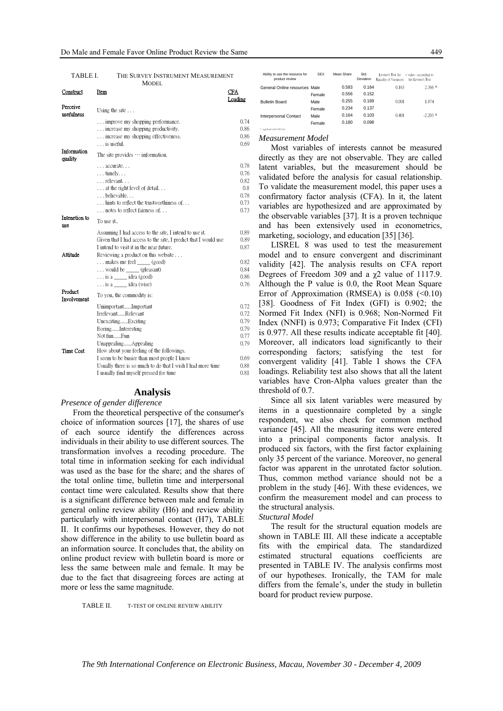| MODEL.                      |                                                                                                                                                                                                              |                                                     |  |  |  |
|-----------------------------|--------------------------------------------------------------------------------------------------------------------------------------------------------------------------------------------------------------|-----------------------------------------------------|--|--|--|
| Construct                   | Item                                                                                                                                                                                                         | CFA<br>Loading                                      |  |  |  |
| Perceive<br>usefulness      | Using the site $\ldots$                                                                                                                                                                                      |                                                     |  |  |  |
|                             | improve my shopping performance.<br>increase my shopping productivity.<br>increase my shopping effectiveness.<br>$\ldots$ is useful.                                                                         | 0.74<br>0.86<br>0.86<br>0.69                        |  |  |  |
| Information<br>quality      | The site provides $\cdots$ information.                                                                                                                                                                      |                                                     |  |  |  |
|                             | accurate<br>$\dots$ timely<br>relevant<br>at the right level of detail<br>believable<br>hints to reflect the trustworthiness of<br>notes to reflect fairness of                                              | 0.78<br>0.76<br>0.82<br>0.8<br>0.78<br>0.73<br>0.73 |  |  |  |
| Intenetion to<br><b>use</b> | To use it                                                                                                                                                                                                    |                                                     |  |  |  |
| Attitude                    | Assuming I had access to the site, I intend to use it.<br>Given that I had access to the site, I predict that I would use<br>I intend to visit it in the near future.<br>Reviewing a product on this website | 0.89<br>0.89<br>0.87                                |  |  |  |
|                             | makes me feel _____ (good)<br>$\ldots$ would be _______ (pleasant)<br>$\ldots$ is a $\_\_\_\$ idea (good)                                                                                                    | 0.82<br>0.84<br>0.86<br>0.76                        |  |  |  |
| Product<br>Involvement      | $\ldots$ is a ______ idea (wise)<br>To you, the commodity is:                                                                                                                                                |                                                     |  |  |  |
|                             | UnimportantImportant<br>IrrelevantRelevant<br>UnexcitingExciting<br>BoringInteresting                                                                                                                        | 0.72<br>0.72<br>0.79<br>0.79                        |  |  |  |
| Time Cost                   | Not funFun<br>UnappealingAppealing<br>How about your feeling of the followings.<br>I seem to be busier than most people I know                                                                               | 0.77<br>0.79<br>0.69                                |  |  |  |
|                             | Usually there is so much to do that I wish I had more time<br>I usually find myself pressed for time                                                                                                         | 0.88<br>0.81                                        |  |  |  |

### TABLE I. THE SURVEY INSTRUMENT MEASUREMENT

# **Analysis**

#### *Presence of gender difference*

From the theoretical perspective of the consumer's choice of information sources [17], the shares of use of each source identify the differences across individuals in their ability to use different sources. The transformation involves a recoding procedure. The total time in information seeking for each individual was used as the base for the share; and the shares of the total online time, bulletin time and interpersonal contact time were calculated. Results show that there is a significant difference between male and female in general online review ability (H6) and review ability particularly with interpersonal contact (H7), TABLE II. It confirms our hypotheses. However, they do not show difference in the ability to use bulletin board as an information source. It concludes that, the ability on online product review with bulletin board is more or less the same between male and female. It may be due to the fact that disagreeing forces are acting at more or less the same magnitude.

TABLE II. T-TEST OF ONLINE REVIEW ABILITY

| Ability to use the resource for<br>product review | <b>SFX</b> | Mean Share | Std.<br>Deviation | Levene's Test for<br>Equality of Variances | t value - according to<br>the Levene's Test |
|---------------------------------------------------|------------|------------|-------------------|--------------------------------------------|---------------------------------------------|
| General Online resources Male                     |            | 0.583      | 0.164             | 0.163                                      | $2.366*$                                    |
|                                                   | Female     | 0.556      | 0.152             |                                            |                                             |
| <b>Bulletin Board</b>                             | Male       | 0.255      | 0.169             | 0.001                                      | 1.874                                       |
|                                                   | Female     | 0.234      | 0.137             |                                            |                                             |
| Interpersonal Contact                             | Male       | 0.164      | 0.103             | 0.401                                      | $-2.203*$                                   |
|                                                   | Female     | 0.180      | 0.098             |                                            |                                             |
| * - significant in the 0.05 level                 |            |            |                   |                                            |                                             |

#### *Measurement Model*

Most variables of interests cannot be measured directly as they are not observable. They are called latent variables, but the measurement should be validated before the analysis for casual relationship. To validate the measurement model, this paper uses a confirmatory factor analysis (CFA). In it, the latent variables are hypothesized and are approximated by the observable variables [37]. It is a proven technique and has been extensively used in econometrics, marketing, sociology, and education [35] [36].

LISREL 8 was used to test the measurement model and to ensure convergent and discriminant validity [42]. The analysis results on CFA report Degrees of Freedom 309 and a  $\chi$ 2 value of 1117.9. Although the P value is 0.0, the Root Mean Square Error of Approximation (RMSEA) is  $0.058$  (<0.10) [38]. Goodness of Fit Index (GFI) is 0.902; the Normed Fit Index (NFI) is 0.968; Non-Normed Fit Index (NNFI) is 0.973; Comparative Fit Index (CFI) is 0.977. All these results indicate acceptable fit [40]. Moreover, all indicators load significantly to their corresponding factors; satisfying the test for convergent validity [41]. Table I shows the CFA loadings. Reliability test also shows that all the latent variables have Cron-Alpha values greater than the threshold of 0.7.

Since all six latent variables were measured by items in a questionnaire completed by a single respondent, we also check for common method variance [45]. All the measuring items were entered into a principal components factor analysis. It produced six factors, with the first factor explaining only 35 percent of the variance. Moreover, no general factor was apparent in the unrotated factor solution. Thus, common method variance should not be a problem in the study [46]. With these evidences, we confirm the measurement model and can process to the structural analysis.

#### *Stuctural Model*

The result for the structural equation models are shown in TABLE III. All these indicate a acceptable fits with the empirical data. The standardized estimated structural equations coefficients are presented in TABLE IV. The analysis confirms most of our hypotheses. Ironically, the TAM for male differs from the female's, under the study in bulletin board for product review purpose.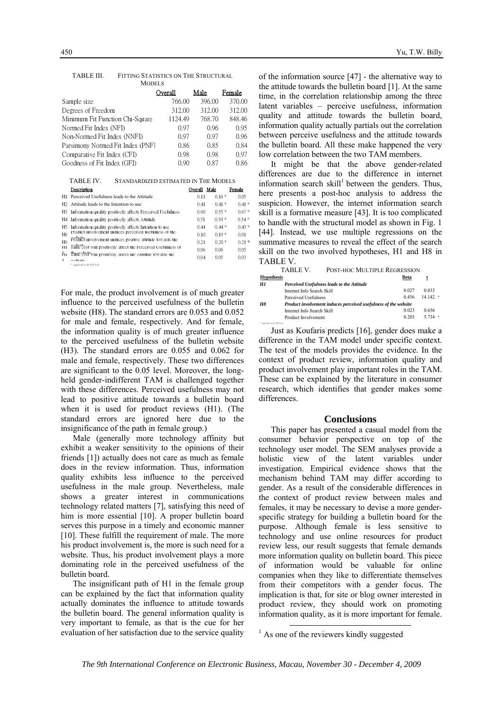|                                                                                                                          | Overall | Male   |         | Female  |  |
|--------------------------------------------------------------------------------------------------------------------------|---------|--------|---------|---------|--|
| Sample size                                                                                                              | 766.00  | 396.00 |         | 370.00  |  |
| Degrees of Freedom                                                                                                       | 312.00  | 312.00 |         | 312.00  |  |
| Minimum Fit Function Chi-Square                                                                                          | 1124.49 | 768.70 |         | 848.46  |  |
| Normed Fit Index (NFI)                                                                                                   | 0.97    | 0.96   |         | 0.95    |  |
| Non-Normed Fit Index (NNFI)                                                                                              | 0.97    | 0.97   |         | 0.96    |  |
| Parsimony Normed Fit Index (PNF)                                                                                         | 0.86    | 0.85   |         | 0.84    |  |
| Comparative Fit Index (CFI)                                                                                              | 0.98    | 0.98   |         | 0.97    |  |
| Goodness of Fit Index (GFI)                                                                                              | 0.90    | 0.87   |         | 0.86    |  |
| TABLE IV.<br>STANDARDIZED ESTIMATED IN THE MODELS<br>Overall Male<br>Description<br>Female                               |         |        |         |         |  |
| Perceived Usefulness leads to the Attitude<br>Нl                                                                         |         | 0.11   | $0.16*$ | 0.05    |  |
| Attitude leads to the Intention to use<br>H2                                                                             |         | 041    | $0.41*$ | $0.41*$ |  |
| Information quality positively affects Perceived Usefulness<br>H3                                                        |         | 0.60   | $0.55*$ | $0.67*$ |  |
| Information quality positively affects Attitude<br>H <sub>4</sub>                                                        |         | 0.51   | $0.50*$ | $0.54*$ |  |
| Information quality positively affects Intention to use<br>H5<br>Product involvement induces perceived usefulness of the |         | 0.44   | $0.44*$ | $0.43*$ |  |
| H8<br>Product involvement induces positive attitude towards the                                                          |         | 0.10   | $0.19*$ | 001     |  |
| H <sub>9</sub><br>Time cost will positively affect the Perceived Usefulness of<br>H1                                     |         | 0.21   | $0.20*$ | $0.21*$ |  |
| Time cost will positively affect the Attitude towards the<br>Ĥг                                                          |         | 0.06   | 0.06    | 0.05    |  |
| ı.<br>malanita                                                                                                           |         | 0.04   | 0.05    | 0.03    |  |

#### TABLE III. FITTING STATISTICS ON THE STRUCTURAL MODELS

1  $\ast \cdot \text{significant in the 0.05 level}$ 

For male, the product involvement is of much greater influence to the perceived usefulness of the bulletin website (H8). The standard errors are 0.053 and 0.052 for male and female, respectively. And for female, the information quality is of much greater influence to the perceived usefulness of the bulletin website (H3). The standard errors are 0.055 and 0.062 for male and female, respectively. These two differences are significant to the 0.05 level. Moreover, the longheld gender-indifferent TAM is challenged together with these differences. Perceived usefulness may not lead to positive attitude towards a bulletin board when it is used for product reviews (H1). (The standard errors are ignored here due to the insignificance of the path in female group.)

Male (generally more technology affinity but exhibit a weaker sensitivity to the opinions of their friends [1]) actually does not care as much as female does in the review information. Thus, information quality exhibits less influence to the perceived usefulness in the male group. Nevertheless, male shows a greater interest in communications technology related matters [7], satisfying this need of him is more essential [10]. A proper bulletin board serves this purpose in a timely and economic manner [10]. These fulfill the requirement of male. The more his product involvement is, the more is such need for a website. Thus, his product involvement plays a more dominating role in the perceived usefulness of the bulletin board.

The insignificant path of H1 in the female group can be explained by the fact that information quality actually dominates the influence to attitude towards the bulletin board. The general information quality is very important to female, as that is the cue for her evaluation of her satisfaction due to the service quality of the information source [47] - the alternative way to the attitude towards the bulletin board [1]. At the same time, in the correlation relationship among the three latent variables – perceive usefulness, information quality and attitude towards the bulletin board, information quality actually partials out the correlation between perceive usefulness and the attitude towards the bulletin board. All these make happened the very low correlation between the two TAM members.

It might be that the above gender-related differences are due to the difference in internet information search skill<sup>1</sup> between the genders. Thus, here presents a post-hoc analysis to address the suspicion. However, the internet information search skill is a formative measure [43]. It is too complicated to handle with the structural model as shown in Fig. 1 [44]. Instead, we use multiple regressions on the summative measures to reveal the effect of the search skill on the two involved hypotheses, H1 and H8 in TABLE V.

|                                                                              | TABLE V.                   | POST-HOC MULTIPLE REGRESSION               |         |           |
|------------------------------------------------------------------------------|----------------------------|--------------------------------------------|---------|-----------|
| <b>Hypothesis</b>                                                            |                            |                                            | Beta    |           |
| HI                                                                           |                            | Perceived Usefulness leads to the Attitude |         |           |
|                                                                              | Internet Info Search Skill |                                            | 0 0 2 7 | 0.833     |
|                                                                              | Perceived Usefulness       |                                            | 0.456   | $14142$ * |
| <b>H8</b><br>Product involvement induces perceived usefulness of the website |                            |                                            |         |           |
|                                                                              | Internet Info Search Skill |                                            | 0.023   | 0.656     |
|                                                                              | Product Involvement        |                                            | 0.203   | $5734$ *  |
| * - significant in the 0.05 level                                            |                            |                                            |         |           |

Just as Koufaris predicts [16], gender does make a difference in the TAM model under specific context. The test of the models provides the evidence. In the context of product review, information quality and product involvement play important roles in the TAM. These can be explained by the literature in consumer research, which identifies that gender makes some differences.

#### **Conclusions**

This paper has presented a casual model from the consumer behavior perspective on top of the technology user model. The SEM analyses provide a holistic view of the latent variables under investigation. Empirical evidence shows that the mechanism behind TAM may differ according to gender. As a result of the considerable differences in the context of product review between males and females, it may be necessary to devise a more genderspecific strategy for building a bulletin board for the purpose. Although female is less sensitive to technology and use online resources for product review less, our result suggests that female demands more information quality on bulletin board. This piece of information would be valuable for online companies when they like to differentiate themselves from their competitors with a gender focus. The implication is that, for site or blog owner interested in product review, they should work on promoting information quality, as it is more important for female.

<sup>&</sup>lt;sup>1</sup> As one of the reviewers kindly suggested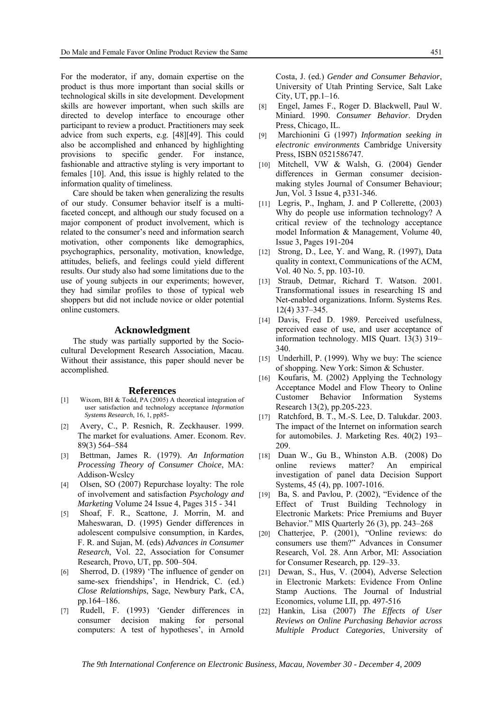For the moderator, if any, domain expertise on the product is thus more important than social skills or technological skills in site development. Development skills are however important, when such skills are directed to develop interface to encourage other participant to review a product. Practitioners may seek advice from such experts, e.g. [48][49]. This could also be accomplished and enhanced by highlighting provisions to specific gender. For instance, fashionable and attractive styling is very important to females [10]. And, this issue is highly related to the information quality of timeliness.

Care should be taken when generalizing the results of our study. Consumer behavior itself is a multifaceted concept, and although our study focused on a major component of product involvement, which is related to the consumer's need and information search motivation, other components like demographics, psychographics, personality, motivation, knowledge, attitudes, beliefs, and feelings could yield different results. Our study also had some limitations due to the use of young subjects in our experiments; however, they had similar profiles to those of typical web shoppers but did not include novice or older potential online customers.

### **Acknowledgment**

The study was partially supported by the Sociocultural Development Research Association, Macau. Without their assistance, this paper should never be accomplished.

#### **References**

- [1] Wixom, BH & Todd, PA (2005) A theoretical integration of user satisfaction and technology acceptance *Information Systems Research*, 16, 1, pp85-
- [2] Avery, C., P. Resnich, R. Zeckhauser. 1999. The market for evaluations. Amer. Econom. Rev. 89(3) 564–584
- [3] Bettman, James R. (1979). *An Information Processing Theory of Consumer Choice*, MA: Addison-Wcslcy
- [4] Olsen, SO (2007) Repurchase loyalty: The role of involvement and satisfaction *Psychology and Marketing* Volume 24 Issue 4, Pages 315 - 341
- [5] Shoaf, F. R., Scattone, J. Morrin, M. and Maheswaran, D. (1995) Gender differences in adolescent compulsive consumption, in Kardes, F. R. and Sujan, M. (eds) *Advances in Consumer Research*, Vol. 22, Association for Consumer Research, Provo, UT, pp. 500–504.
- [6] Sherrod, D. (1989) 'The influence of gender on same-sex friendships', in Hendrick, C. (ed.) *Close Relationships*, Sage, Newbury Park, CA, pp.164–186.
- [7] Rudell, F. (1993) 'Gender differences in consumer decision making for personal computers: A test of hypotheses', in Arnold

Costa, J. (ed.) *Gender and Consumer Behavior*, University of Utah Printing Service, Salt Lake City, UT, pp.1–16.

- [8] Engel, James F., Roger D. Blackwell, Paul W. Miniard. 1990. *Consumer Behavior*. Dryden Press, Chicago, IL.
- [9] Marchionini G (1997) *Information seeking in electronic environments* Cambridge University Press, ISBN 0521586747.
- [10] Mitchell, VW & Walsh, G. (2004) Gender differences in German consumer decisionmaking styles Journal of Consumer Behaviour; Jun, Vol. 3 Issue 4, p331-346.
- [11] Legris, P., Ingham, J. and P Collerette,  $(2003)$ Why do people use information technology? A critical review of the technology acceptance model Information & Management, Volume 40, Issue 3, Pages 191-204
- [12] Strong, D., Lee, Y. and Wang, R. (1997), Data quality in context, Communications of the ACM, Vol. 40 No. 5, pp. 103-10.
- [13] Straub, Detmar, Richard T. Watson. 2001. Transformational issues in researching IS and Net-enabled organizations. Inform. Systems Res. 12(4) 337–345.
- [14] Davis, Fred D. 1989. Perceived usefulness, perceived ease of use, and user acceptance of information technology. MIS Quart. 13(3) 319– 340.
- [15] Underhill, P. (1999). Why we buy: The science of shopping. New York: Simon & Schuster.
- [16] Koufaris, M. (2002) Applying the Technology Acceptance Model and Flow Theory to Online Customer Behavior Information Systems Research 13(2), pp.205-223.
- [17] Ratchford, B. T., M.-S. Lee, D. Talukdar. 2003. The impact of the Internet on information search for automobiles. J. Marketing Res. 40(2) 193– 209.
- [18] Duan W., Gu B., Whinston A.B. (2008) Do online reviews matter? An empirical investigation of panel data Decision Support Systems, 45 (4), pp. 1007-1016.
- [19] Ba, S. and Pavlou, P. (2002), "Evidence of the Effect of Trust Building Technology in Electronic Markets: Price Premiums and Buyer Behavior." MIS Quarterly 26 (3), pp. 243–268
- [20] Chatterjee, P. (2001), "Online reviews: do consumers use them?" Advances in Consumer Research, Vol. 28. Ann Arbor, MI: Association for Consumer Research, pp. 129–33.
- [21] Dewan, S., Hus, V. (2004), Adverse Selection in Electronic Markets: Evidence From Online Stamp Auctions. The Journal of Industrial Economics, volume LII, pp. 497-516
- [22] Hankin, Lisa (2007) *The Effects of User Reviews on Online Purchasing Behavior across Multiple Product Categories*, University of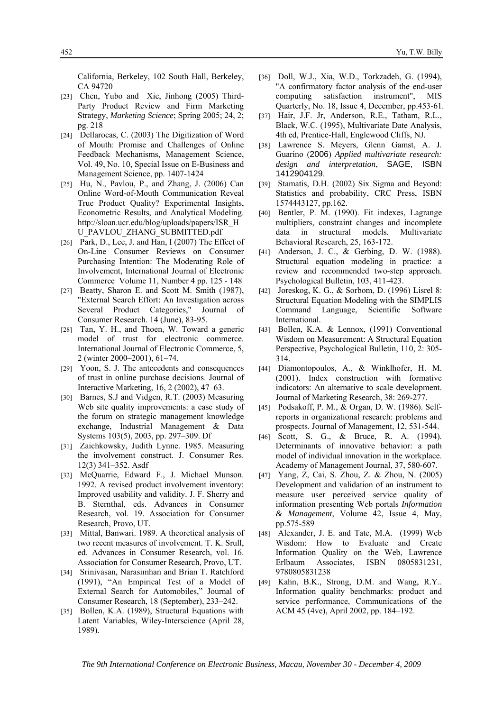California, Berkeley, 102 South Hall, Berkeley, CA 94720

- [23] Chen, Yubo and Xie, Jinhong (2005) Third-Party Product Review and Firm Marketing Strategy, *Marketing Science*; Spring 2005; 24, 2; pg. 218
- [24] Dellarocas, C. (2003) The Digitization of Word of Mouth: Promise and Challenges of Online Feedback Mechanisms, Management Science, Vol. 49, No. 10, Special Issue on E-Business and Management Science, pp. 1407-1424
- [25] Hu, N., Pavlou, P., and Zhang, J. (2006) Can Online Word-of-Mouth Communication Reveal True Product Quality? Experimental Insights, Econometric Results, and Analytical Modeling. http://sloan.ucr.edu/blog/uploads/papers/ISR\_H U\_PAVLOU\_ZHANG\_SUBMITTED.pdf
- [26] Park, D., Lee, J. and Han, I (2007) The Effect of On-Line Consumer Reviews on Consumer Purchasing Intention: The Moderating Role of Involvement, International Journal of Electronic Commerce Volume 11, Number 4 pp. 125 - 148
- [27] Beatty, Sharon E. and Scott M. Smith (1987), "External Search Effort: An Investigation across Several Product Categories," Journal of Consumer Research. 14 (June), 83-95.
- [28] Tan, Y. H., and Thoen, W. Toward a generic model of trust for electronic commerce. International Journal of Electronic Commerce, 5, 2 (winter 2000–2001), 61–74.
- [29] Yoon, S. J. The antecedents and consequences of trust in online purchase decisions. Journal of Interactive Marketing, 16, 2 (2002), 47–63.
- [30] Barnes, S.J and Vidgen, R.T. (2003) Measuring Web site quality improvements: a case study of the forum on strategic management knowledge exchange, Industrial Management & Data Systems 103(5), 2003, pp. 297–309. Df
- [31] Zaichkowsky, Judith Lynne. 1985. Measuring the involvement construct. J. Consumer Res. 12(3) 341–352. Asdf
- [32] McQuarrie, Edward F., J. Michael Munson. 1992. A revised product involvement inventory: Improved usability and validity. J. F. Sherry and B. Sternthal, eds. Advances in Consumer Research, vol. 19. Association for Consumer Research, Provo, UT.
- [33] Mittal, Banwari. 1989. A theoretical analysis of two recent measures of involvement. T. K. Srull, ed. Advances in Consumer Research, vol. 16. Association for Consumer Research, Provo, UT.
- [34] Srinivasan, Narasimhan and Brian T. Ratchford (1991), "An Empirical Test of a Model of External Search for Automobiles," Journal of Consumer Research, 18 (September), 233–242.
- [35] Bollen, K.A. (1989), Structural Equations with Latent Variables, Wiley-Interscience (April 28, 1989).
- [36] Doll, W.J., Xia, W.D., Torkzadeh, G. (1994), "A confirmatory factor analysis of the end-user computing satisfaction instrument", MIS Quarterly, No. 18, Issue 4, December, pp.453-61.
- [37] Hair, J.F. Jr, Anderson, R.E., Tatham, R.L., Black, W.C. (1995), Multivariate Date Analysis, 4th ed, Prentice-Hall, Englewood Cliffs, NJ.
- [38] Lawrence S. Meyers, Glenn Gamst, A. J. Guarino (2006) *Applied multivariate research: design and interpretation*, SAGE, ISBN 1412904129.
- [39] Stamatis, D.H. (2002) Six Sigma and Beyond: Statistics and probability, CRC Press, ISBN 1574443127, pp.162.
- [40] Bentler, P. M. (1990). Fit indexes, Lagrange multipliers, constraint changes and incomplete data in structural models. Multivariate Behavioral Research, 25, 163-172.
- [41] Anderson, J. C., & Gerbing, D. W. (1988). Structural equation modeling in practice: a review and recommended two-step approach. Psychological Bulletin, 103, 411-423.
- [42] Joreskog, K. G., & Sorbom, D. (1996) Lisrel 8: Structural Equation Modeling with the SIMPLIS Command Language, Scientific Software International.
- [43] Bollen, K.A. & Lennox, (1991) Conventional Wisdom on Measurement: A Structural Equation Perspective, Psychological Bulletin, 110, 2: 305- 314.
- [44] Diamontopoulos, A., & Winklhofer, H. M. (2001). Index construction with formative indicators: An alternative to scale development. Journal of Marketing Research, 38: 269-277.
- [45] Podsakoff, P. M., & Organ, D. W. (1986). Selfreports in organizational research: problems and prospects. Journal of Management, 12, 531-544.
- [46] Scott, S. G., & Bruce, R. A. (1994). Determinants of innovative behavior: a path model of individual innovation in the workplace. Academy of Management Journal, 37, 580-607.
- [47] Yang, Z, Cai, S. Zhou, Z. & Zhou, N. (2005) Development and validation of an instrument to measure user perceived service quality of information presenting Web portals *Information & Management*, Volume 42, Issue 4, May, pp.575-589
- [48] Alexander, J. E. and Tate, M.A. (1999) Web Wisdom: How to Evaluate and Create Information Quality on the Web, Lawrence Erlbaum Associates, ISBN 0805831231, 9780805831238
- [49] Kahn, B.K., Strong, D.M. and Wang, R.Y.. Information quality benchmarks: product and service performance, Communications of the ACM 45 (4ve), April 2002, pp. 184–192.